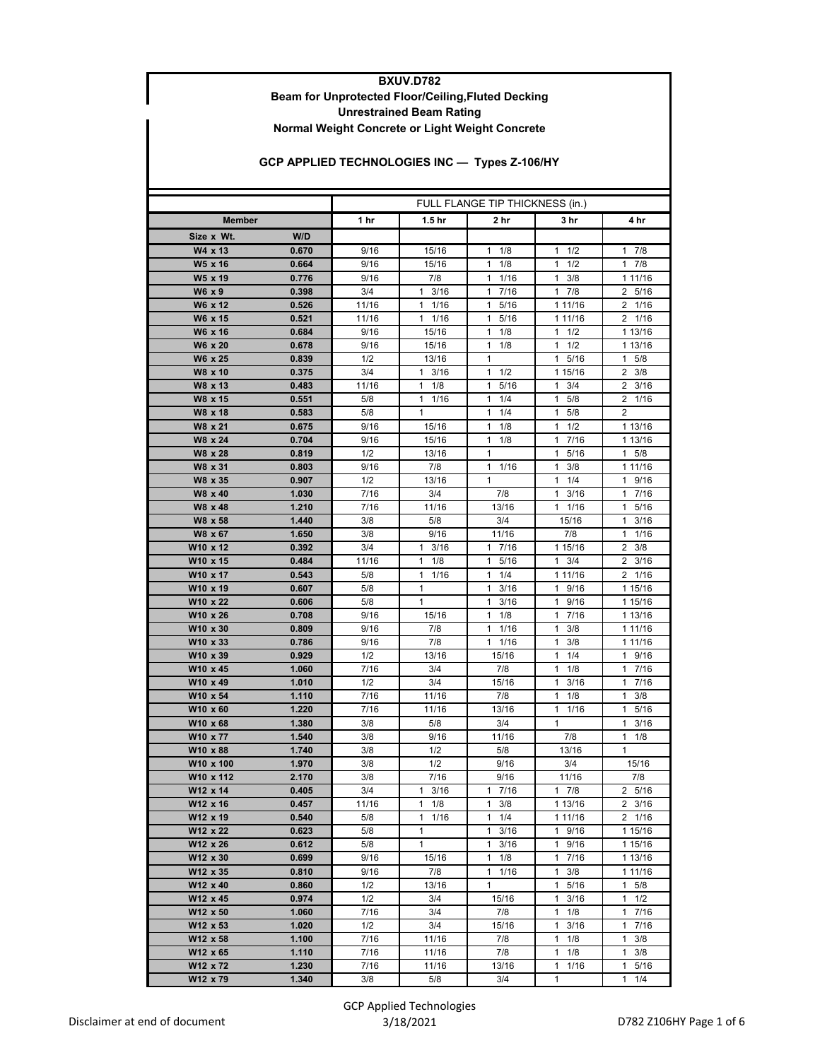## **BXUV.D782 Beam for Unprotected Floor/Ceiling,Fluted Decking Normal Weight Concrete or Light Weight Concrete Unrestrained Beam Rating**

## **GCP APPLIED TECHNOLOGIES INC — Types Z-106/HY**

|                      |                | FULL FLANGE TIP THICKNESS (in.) |                       |                            |                                            |                                 |
|----------------------|----------------|---------------------------------|-----------------------|----------------------------|--------------------------------------------|---------------------------------|
| <b>Member</b>        |                | 1 hr                            | 1.5 hr                | 2 hr                       | 3 hr                                       | 4 hr                            |
| Size x Wt.           | W/D            |                                 |                       |                            |                                            |                                 |
| W4 x 13              | 0.670          | 9/16                            | 15/16                 | 1/8<br>1                   | 1/2<br>1                                   | 7/8<br>1                        |
| W5 x 16              | 0.664          | 9/16                            | 15/16                 | 1<br>1/8                   | 1/2<br>1                                   | $1 \t7/8$                       |
| W5 x 19              | 0.776          | 9/16                            | 7/8                   | 1/16<br>1                  | $\mathbf{1}$<br>3/8                        | 1 11/16                         |
| W6 x 9               | 0.398          | 3/4                             | 3/16<br>1             | 17/16                      | $1 \t7/8$                                  | 2 5/16                          |
| W6 x 12              | 0.526          | 11/16                           | $\mathbf{1}$<br>1/16  | $\mathbf{1}$<br>5/16       | 1 11/16                                    | $2 \t1/16$                      |
| W6 x 15              | 0.521          | 11/16                           | 1/16<br>$\mathbf{1}$  | 1<br>5/16                  | 1 11/16                                    | 1/16<br>$\overline{2}$          |
| W6 x 16              | 0.684          | 9/16                            | 15/16                 | 1/8<br>1                   | 1/2<br>1                                   | 1 13/16                         |
| W6 x 20              | 0.678          | 9/16                            | 15/16                 | 1/8<br>1                   | 1/2<br>1                                   | 1 13/16                         |
| W6 x 25              | 0.839          | 1/2                             | 13/16                 | 1                          | 1<br>5/16                                  | 5/8<br>$\mathbf{1}$             |
| W8 x 10              | 0.375          | 3/4                             | 3/16<br>1             | 1/2<br>1                   | 1 15/16                                    | $2 \frac{3}{8}$                 |
| W8 x 13              | 0.483          | 11/16                           | $\mathbf{1}$<br>1/8   | 5/16<br>1                  | $\mathbf{1}$<br>3/4                        | $2 \frac{3}{16}$                |
| W8 x 15              | 0.551          | 5/8                             | 1/16<br>$\mathbf{1}$  | 1/4<br>1                   | 1<br>5/8                                   | $\overline{2}$<br>1/16          |
| W8 x 18              | 0.583          | 5/8                             | $\mathbf{1}$          | 1/4<br>1                   | 5/8<br>1                                   | 2                               |
| W8 x 21              | 0.675          | 9/16                            | 15/16                 | 1/8<br>1                   | 1/2<br>$\mathbf{1}$                        | 1 13/16                         |
| W8 x 24              | 0.704          | 9/16                            | 15/16                 | $1 \t1/8$                  | 17/16                                      | 1 13/16                         |
| W8 x 28              | 0.819          | 1/2                             | 13/16                 | 1                          | 5/16<br>1                                  | $1 \t5/8$                       |
| W8 x 31              | 0.803          | 9/16                            | 7/8                   | $\mathbf{1}$<br>1/16       | 1<br>3/8                                   | 1 11/16                         |
| W8 x 35              | 0.907          | 1/2                             | 13/16                 | $\mathbf{1}$               | $1 \t1/4$                                  | 1 9/16                          |
| W8 x 40              | 1.030          | 7/16                            | 3/4                   | 7/8                        | $1 \t3/16$                                 | 7/16<br>1                       |
| W8 x 48              | 1.210          | 7/16                            | 11/16                 | 13/16                      | 11/16                                      | $\mathbf{1}$<br>5/16            |
| W8 x 58              | 1.440          | 3/8                             | 5/8                   | 3/4                        | 15/16                                      | 3/16<br>1                       |
| W8 x 67              | 1.650          | 3/8                             | 9/16                  | 11/16                      | 7/8                                        | 1<br>1/16                       |
| W10 x 12<br>W10 x 15 | 0.392          | 3/4<br>11/16                    | 3/16<br>1             | 7/16<br>1.<br>$\mathbf{1}$ | 1 15/16                                    | 3/8<br>2<br>$\overline{2}$      |
| W10 x 17             | 0.484<br>0.543 | 5/8                             | 1/8<br>1<br>1/16<br>1 | 5/16<br>1/4<br>1           | 3/4<br>$\mathbf{1}$<br>1 11/16             | 3/16<br>1/16                    |
| W10 x 19             | 0.607          | 5/8                             | 1                     | 3/16<br>1                  | 9/16<br>$\mathbf{1}$                       | $\mathbf{2}$<br>1 15/16         |
| W10 x 22             | 0.606          | 5/8                             | $\mathbf{1}$          | 3/16<br>$\mathbf{1}$       | $\mathbf{1}$<br>9/16                       | 1 15/16                         |
| W10 x 26             | 0.708          | 9/16                            | 15/16                 | 1/8<br>1                   | 17/16                                      | 1 13/16                         |
| W10 x 30             | 0.809          | 9/16                            | 7/8                   | 1/16<br>$\mathbf{1}$       | 3/8<br>1                                   | 1 1 1 / 16                      |
| W10 x 33             | 0.786          | 9/16                            | 7/8                   | 1 1/16                     | 1<br>3/8                                   | 1 11/16                         |
| W10 x 39             | 0.929          | 1/2                             | 13/16                 | 15/16                      | $\mathbf{1}$<br>1/4                        | 1 9/16                          |
| W10 x 45             | 1.060          | 7/16                            | 3/4                   | 7/8                        | 1/8<br>1                                   | 17/16                           |
| W10 x 49             | 1.010          | 1/2                             | 3/4                   | 15/16                      | 3/16<br>1                                  | 17/16                           |
| W10 x 54             | 1.110          | 7/16                            | 11/16                 | 7/8                        | $\mathbf{1}$<br>1/8                        | $\mathbf{1}$<br>3/8             |
| W10 x 60             | 1.220          | 7/16                            | 11/16                 | 13/16                      | 1/16<br>1                                  | 5/16<br>1                       |
| W10 x 68             | 1.380          | 3/8                             | 5/8                   | 3/4                        | $\mathbf{1}$                               | 3/16<br>$\mathbf{1}$            |
| W10 x 77             | 1.540          | 3/8                             | 9/16                  | 11/16                      | 7/8                                        | 1/8<br>1                        |
| W10 x 88             | 1.740          | 3/8                             | 1/2                   | 5/8                        | 13/16                                      | 1                               |
| W10 x 100            | 1.970          | 3/8                             | 1/2                   | 9/16                       | 3/4                                        | 15/16                           |
| W10 x 112            | 2.170          | 3/8                             | 7/16                  | 9/16                       | 11/16                                      | 7/8                             |
| W12 x 14             | 0.405          | 3/4                             | 3/16<br>1             | $1 \t7/16$                 | 17/8                                       | 2 5/16                          |
| W12 x 16             | 0.457          | 11/16                           | 1/8<br>$\mathbf{1}$   | 3/8<br>$\mathbf{1}$        | 1 13/16                                    | $2 \frac{3}{16}$                |
| W12 x 19             | 0.540          | 5/8                             | $\mathbf{1}$<br>1/16  | $1 \t1/4$                  | 1 11/16                                    | 2 1/16                          |
| W12 x 22             | 0.623          | 5/8                             | 1                     | $1 \t3/16$                 | 1 9/16                                     | 1 15/16                         |
| W12 x 26             | 0.612          | 5/8                             | $\mathbf{1}$          | $\mathbf{1}$<br>3/16       | 1 9/16                                     | 1 15/16                         |
| W12 x 30             | 0.699          | 9/16                            | 15/16                 | $1 \t1/8$                  | 17/16                                      | 1 13/16                         |
| W12 x 35             | 0.810          | 9/16                            | 7/8                   | $1 \t1/16$                 | $1 \t3/8$                                  | 1 11/16                         |
| W12 x 40             | 0.860          | 1/2                             | 13/16                 | 1                          | $\mathbf{1}$<br>5/16                       | 1<br>5/8                        |
| W12 x 45             | 0.974          | 1/2                             | 3/4                   | 15/16                      | $\mathbf{1}$<br>3/16                       | 1/2<br>$\mathbf{1}$             |
| W12 x 50             | 1.060          | 7/16                            | 3/4                   | 7/8                        | $1 \t1/8$                                  | 1<br>7/16                       |
| W12 x 53             | 1.020          | 1/2                             | 3/4                   | 15/16                      | 1<br>3/16                                  | 1<br>7/16                       |
| W12 x 58<br>W12 x 65 | 1.100<br>1.110 | 7/16<br>7/16                    | 11/16<br>11/16        | 7/8<br>7/8                 | $\mathbf{1}$<br>1/8<br>$\mathbf{1}$<br>1/8 | 1<br>3/8<br>$\mathbf{1}$<br>3/8 |
| W12 x 72             | 1.230          | 7/16                            | 11/16                 | 13/16                      | 1/16<br>$\mathbf{1}$                       | 1 5/16                          |
| W12 x 79             | 1.340          | 3/8                             | 5/8                   | 3/4                        | 1                                          | 1/4<br>1                        |
|                      |                |                                 |                       |                            |                                            |                                 |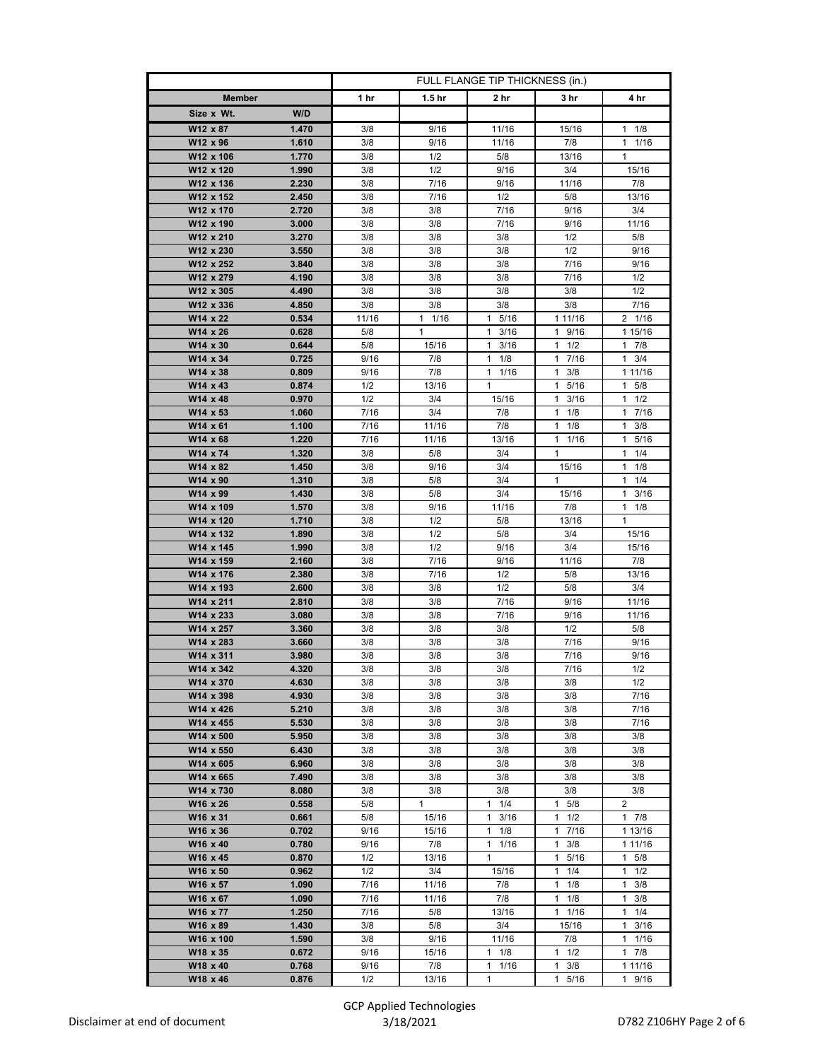|                                          | FULL FLANGE TIP THICKNESS (in.) |                      |                      |                      |                      |
|------------------------------------------|---------------------------------|----------------------|----------------------|----------------------|----------------------|
| <b>Member</b>                            | 1 hr                            | 1.5 <sub>hr</sub>    | 2 hr                 | 3 hr                 | 4 hr                 |
| W/D<br>Size x Wt.                        |                                 |                      |                      |                      |                      |
| W12 x 87<br>1.470                        | 3/8                             | 9/16                 | 11/16                | 15/16                | $1 \t1/8$            |
| W12 x 96<br>1.610                        | 3/8                             | 9/16                 | 11/16                | 7/8                  | 11/16                |
| 1.770<br>W12 x 106                       | 3/8                             | 1/2                  | 5/8                  | 13/16                | $\mathbf{1}$         |
| W12 x 120<br>1.990                       | 3/8                             | 1/2                  | 9/16                 | 3/4                  | 15/16                |
| W12 x 136<br>2.230                       | 3/8                             | 7/16                 | 9/16                 | 11/16                | 7/8                  |
| W12 x 152<br>2.450                       | 3/8                             | 7/16                 | 1/2                  | 5/8                  | 13/16                |
| W12 x 170<br>2.720                       | 3/8                             | 3/8                  | 7/16                 | 9/16                 | 3/4                  |
| W12 x 190<br>3.000                       | 3/8                             | 3/8                  | 7/16                 | 9/16                 | 11/16                |
| W12 x 210<br>3.270                       | 3/8                             | 3/8                  | 3/8                  | 1/2                  | 5/8                  |
| W12 x 230<br>3.550                       | 3/8                             | 3/8                  | 3/8                  | 1/2                  | 9/16                 |
| W12 x 252<br>3.840                       | 3/8                             | 3/8                  | 3/8                  | 7/16                 | 9/16                 |
| W12 x 279<br>4.190                       | 3/8                             | 3/8                  | 3/8                  | 7/16                 | 1/2                  |
| W12 x 305<br>4.490<br>W12 x 336<br>4.850 | 3/8<br>3/8                      | 3/8<br>3/8           | 3/8<br>3/8           | 3/8<br>3/8           | 1/2<br>7/16          |
| W14 x 22<br>0.534                        | 11/16                           | 1/16<br>$\mathbf{1}$ | 5/16<br>$\mathbf{1}$ | 1 11/16              | 2 1/16               |
| W14 x 26<br>0.628                        | 5/8                             | 1                    | $1 \t3/16$           | 1 9/16               | 1 15/16              |
| W14 x 30<br>0.644                        | 5/8                             | 15/16                | $\mathbf{1}$<br>3/16 | $1 \t1/2$            | 7/8<br>1             |
| W14 x 34<br>0.725                        | 9/16                            | 7/8                  | $1 \t1/8$            | 7/16<br>$\mathbf{1}$ | 3/4<br>1             |
| W14 x 38<br>0.809                        | 9/16                            | 7/8                  | $1 \t1/16$           | $\mathbf{1}$<br>3/8  | 1 1 1 / 16           |
| W14 x 43<br>0.874                        | 1/2                             | 13/16                | 1                    | 5/16<br>$\mathbf{1}$ | $1 \t5/8$            |
| W14 x 48<br>0.970                        | 1/2                             | 3/4                  | 15/16                | 3/16<br>1            | 1/2<br>1             |
| W14 x 53<br>1.060                        | 7/16                            | 3/4                  | 7/8                  | $\mathbf{1}$<br>1/8  | $\mathbf{1}$<br>7/16 |
| W14 x 61<br>1.100                        | 7/16                            | 11/16                | 7/8                  | 1/8<br>$\mathbf{1}$  | 3/8<br>$\mathbf{1}$  |
| W14 x 68<br>1.220                        | 7/16                            | 11/16                | 13/16                | 1 1/16               | $\mathbf{1}$<br>5/16 |
| W14 x 74<br>1.320                        | 3/8                             | 5/8                  | 3/4                  | $\mathbf{1}$         | 1/4<br>1             |
| W14 x 82<br>1.450                        | 3/8                             | 9/16                 | 3/4                  | 15/16                | 1/8<br>1             |
| W14 x 90<br>1.310                        | 3/8                             | 5/8                  | 3/4                  | $\mathbf{1}$         | $1 \t1/4$            |
| W14 x 99<br>1.430                        | 3/8                             | 5/8                  | 3/4                  | 15/16                | 3/16<br>1            |
| W14 x 109<br>1.570                       | 3/8                             | 9/16                 | 11/16                | 7/8                  | 1/8<br>1             |
| W14 x 120<br>1.710                       | 3/8                             | 1/2                  | 5/8                  | 13/16                | $\mathbf{1}$         |
| W14 x 132<br>1.890                       | 3/8                             | 1/2                  | 5/8                  | 3/4                  | 15/16                |
| W14 x 145<br>1.990<br>W14 x 159<br>2.160 | 3/8<br>3/8                      | 1/2<br>7/16          | 9/16<br>9/16         | 3/4<br>11/16         | 15/16<br>7/8         |
| W14 x 176<br>2.380                       | 3/8                             | 7/16                 | 1/2                  | 5/8                  | 13/16                |
| W14 x 193<br>2.600                       | 3/8                             | 3/8                  | 1/2                  | 5/8                  | 3/4                  |
| W14 x 211<br>2.810                       | 3/8                             | 3/8                  | 7/16                 | 9/16                 | 11/16                |
| W14 x 233<br>3.080                       | 3/8                             | 3/8                  | 7/16                 | 9/16                 | 11/16                |
| W14 x 257<br>3.360                       | 3/8                             | 3/8                  | 3/8                  | 1/2                  | 5/8                  |
| W14 x 283<br>3.660                       | 3/8                             | 3/8                  | 3/8                  | 7/16                 | 9/16                 |
| W14 x 311<br>3.980                       | 3/8                             | 3/8                  | 3/8                  | 7/16                 | 9/16                 |
| W14 x 342<br>4.320                       | 3/8                             | 3/8                  | 3/8                  | 7/16                 | 1/2                  |
| W14 x 370<br>4.630                       | 3/8                             | 3/8                  | 3/8                  | 3/8                  | 1/2                  |
| W14 x 398<br>4.930                       | 3/8                             | 3/8                  | 3/8                  | 3/8                  | 7/16                 |
| 5.210<br>W14 x 426                       | 3/8                             | 3/8                  | 3/8                  | 3/8                  | 7/16                 |
| W14 x 455<br>5.530                       | 3/8                             | 3/8                  | 3/8                  | 3/8                  | 7/16                 |
| W14 x 500<br>5.950<br>6.430<br>W14 x 550 | 3/8<br>3/8                      | 3/8<br>3/8           | 3/8<br>3/8           | 3/8<br>3/8           | 3/8<br>3/8           |
|                                          | 3/8                             | 3/8                  | 3/8                  |                      | 3/8                  |
| W14 x 605<br>6.960<br>W14 x 665<br>7.490 | 3/8                             | 3/8                  | 3/8                  | 3/8<br>3/8           | 3/8                  |
| W14 x 730<br>8.080                       | 3/8                             | 3/8                  | 3/8                  | 3/8                  | 3/8                  |
| W16 x 26<br>0.558                        | 5/8                             | $\mathbf{1}$         | 1/4<br>1             | 5/8<br>1.            | 2                    |
| W16 x 31<br>0.661                        | 5/8                             | 15/16                | $1 \t3/16$           | $1 \t1/2$            | $1 \t7/8$            |
| W16 x 36<br>0.702                        | 9/16                            | 15/16                | 1<br>1/8             | 17/16                | 1 13/16              |
| W16 x 40<br>0.780                        | 9/16                            | 7/8                  | $1 \t1/16$           | 3/8<br>1             | 1 11/16              |
| W16 x 45<br>0.870                        | 1/2                             | 13/16                | $\mathbf{1}$         | 5/16<br>1            | $\mathbf{1}$<br>5/8  |
| W16 x 50<br>0.962                        | 1/2                             | 3/4                  | 15/16                | 1<br>1/4             | 1/2<br>1             |
| W16 x 57<br>1.090                        | 7/16                            | 11/16                | 7/8                  | 1<br>1/8             | 1<br>3/8             |
| W16 x 67<br>1.090                        | 7/16                            | 11/16                | 7/8                  | 1/8<br>1             | $\mathbf{1}$<br>3/8  |
| W16 x 77<br>1.250                        | 7/16                            | 5/8                  | 13/16                | $1 \t1/16$           | 1/4<br>1             |
| W16 x 89<br>1.430                        | 3/8                             | 5/8                  | 3/4                  | 15/16                | 3/16<br>1            |
| W16 x 100<br>1.590                       | 3/8                             | 9/16                 | 11/16                | 7/8                  | $\mathbf{1}$<br>1/16 |
| W18 x 35<br>0.672                        | 9/16                            | 15/16                | $1 \t1/8$            | $1 \t1/2$            | 7/8<br>$\mathbf{1}$  |
| W18 x 40<br>0.768                        | 9/16                            | 7/8                  | $1 \t1/16$           | $1 \t3/8$            | 1 1 1 / 16           |
| W18 x 46<br>0.876                        | 1/2                             | 13/16                | 1                    | 5/16<br>1            | 9/16<br>1            |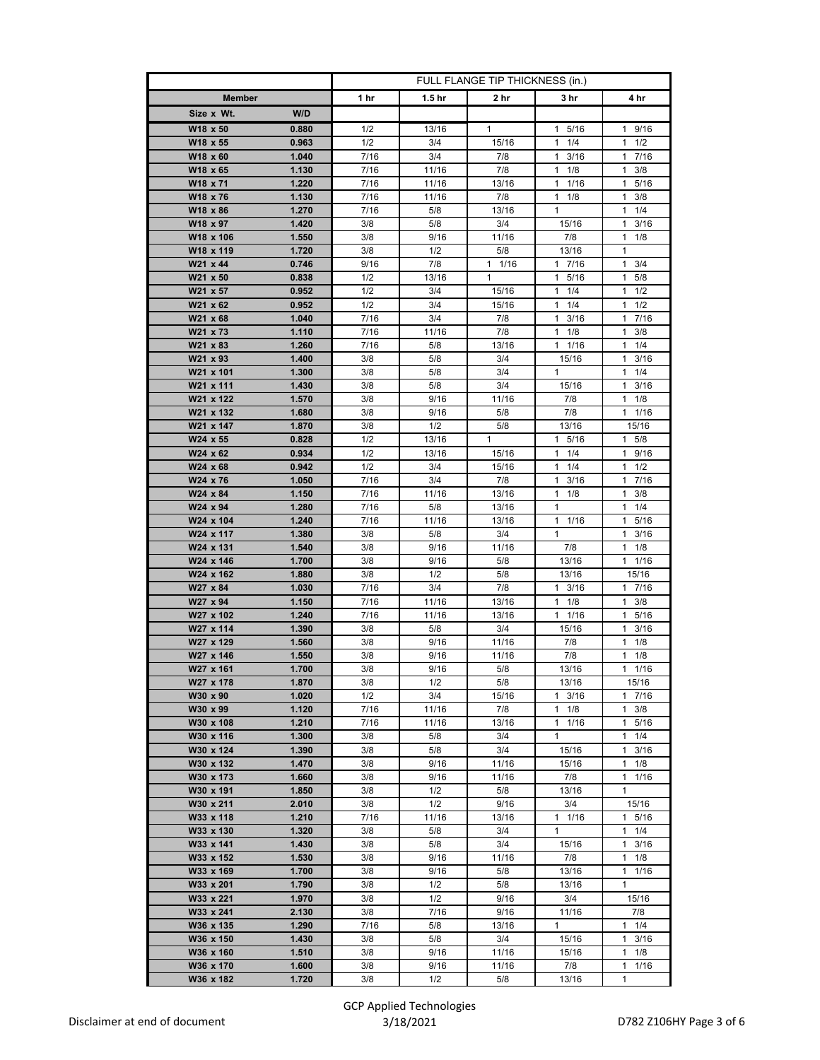|                        |                | FULL FLANGE TIP THICKNESS (in.) |                   |                |                            |                                  |
|------------------------|----------------|---------------------------------|-------------------|----------------|----------------------------|----------------------------------|
| <b>Member</b>          |                | 1 hr                            | 1.5 <sub>hr</sub> | 2 hr           | 3 hr                       | 4 hr                             |
| Size x Wt.             | W/D            |                                 |                   |                |                            |                                  |
| W18 x 50               | 0.880          | 1/2                             | 13/16             | 1              | 1 5/16                     | 1 9/16                           |
| W18 x 55               | 0.963          | 1/2                             | 3/4               | 15/16          | 11/4                       | $1 \t1/2$                        |
| W18 x 60               | 1.040          | 7/16                            | 3/4               | 7/8            | 3/16<br>1                  | 7/16<br>1                        |
| W18 x 65               | 1.130          | 7/16                            | 11/16             | 7/8            | 1/8<br>1                   | 3/8<br>1                         |
| W18 x 71               | 1.220          | 7/16                            | 11/16             | 13/16          | $1 \t1/16$                 | $\mathbf{1}$<br>5/16             |
| W18 x 76               | 1.130          | 7/16                            | 11/16             | 7/8            | $1 \t1/8$                  | 3/8<br>1.                        |
| W18 x 86               | 1.270          | 7/16                            | 5/8               | 13/16          | 1                          | 1/4<br>1                         |
| W18 x 97               | 1.420          | 3/8                             | 5/8               | 3/4            | 15/16                      | 3/16<br>1                        |
| W18 x 106              | 1.550          | 3/8                             | 9/16              | 11/16          | 7/8                        | $1 \t1/8$                        |
| W18 x 119              | 1.720          | 3/8                             | 1/2               | 5/8            | 13/16                      | 1                                |
| W21 x 44               | 0.746          | 9/16                            | 7/8               | $1 \t1/16$     | 17/16                      | $\mathbf{1}$<br>3/4              |
| W21 x 50               | 0.838          | 1/2                             | 13/16             | $\mathbf{1}$   | 1 5/16                     | 5/8<br>1.                        |
| W21 x 57<br>W21 x 62   | 0.952<br>0.952 | 1/2<br>1/2                      | 3/4<br>3/4        | 15/16<br>15/16 | $1 \t1/4$<br>1<br>1/4      | $1 \t1/2$<br>1/2<br>1            |
| W21 x 68               | 1.040          | 7/16                            | 3/4               | 7/8            | $\mathbf{1}$<br>3/16       | 7/16<br>1.                       |
| W21 x 73               | 1.110          | 7/16                            | 11/16             | 7/8            | $1 \t1/8$                  | 3/8<br>1.                        |
| W21 x 83               | 1.260          | 7/16                            | 5/8               | 13/16          | 1 1/16                     | 1/4<br>1                         |
| W21 x 93               | 1.400          | 3/8                             | 5/8               | 3/4            | 15/16                      | 1<br>3/16                        |
| W21 x 101              | 1.300          | 3/8                             | 5/8               | 3/4            | $\mathbf{1}$               | 1/4<br>$\mathbf{1}$              |
| W21 x 111              | 1.430          | 3/8                             | 5/8               | 3/4            | 15/16                      | $1 \t3/16$                       |
| W21 x 122              | 1.570          | 3/8                             | 9/16              | 11/16          | 7/8                        | $1 \t1/8$                        |
| W21 x 132              | 1.680          | 3/8                             | 9/16              | 5/8            | 7/8                        | 1/16<br>$\mathbf{1}$             |
| W21 x 147              | 1.870          | 3/8                             | 1/2               | 5/8            | 13/16                      | 15/16                            |
| W24 x 55               | 0.828          | 1/2                             | 13/16             | 1              | 1 5/16                     | $1 \t5/8$                        |
| W24 x 62               | 0.934          | 1/2                             | 13/16             | 15/16          | $\mathbf{1}$<br>1/4        | $\mathbf{1}$<br>9/16             |
| W24 x 68               | 0.942          | 1/2                             | 3/4               | 15/16          | 1/4<br>1                   | 1/2<br>1.                        |
| W24 x 76               | 1.050          | 7/16                            | 3/4               | 7/8            | $1 \t3/16$                 | 1 7/16                           |
| W24 x 84               | 1.150          | 7/16                            | 11/16             | 13/16          | 1/8<br>1                   | 1<br>3/8                         |
| W24 x 94               | 1.280          | 7/16                            | 5/8               | 13/16          | $\mathbf{1}$               | 1/4<br>$\mathbf{1}$              |
| W24 x 104              | 1.240          | 7/16                            | 11/16             | 13/16          | $1 \t1/16$<br>$\mathbf{1}$ | 5/16<br>$\mathbf{1}$             |
| W24 x 117<br>W24 x 131 | 1.380<br>1.540 | 3/8<br>3/8                      | 5/8<br>9/16       | 3/4<br>11/16   | 7/8                        | 3/16<br>1.<br>1/8<br>1           |
| W24 x 146              | 1.700          | 3/8                             | 9/16              | 5/8            | 13/16                      | $1 \t1/16$                       |
| W24 x 162              | 1.880          | 3/8                             | 1/2               | 5/8            | 13/16                      | 15/16                            |
| W27 x 84               | 1.030          | 7/16                            | 3/4               | 7/8            | $1 \t3/16$                 | 1 7/16                           |
| W27 x 94               | 1.150          | 7/16                            | 11/16             | 13/16          | $1 \t1/8$                  | 1<br>3/8                         |
| W27 x 102              | 1.240          | 7/16                            | 11/16             | 13/16          | $1 \t1/16$                 | 5/16<br>1.                       |
| W27 x 114              | 1.390          | 3/8                             | 5/8               | 3/4            | 15/16                      | $1 \t3/16$                       |
| W27 x 129              | 1.560          | 3/8                             | 9/16              | 11/16          | 7/8                        | 1<br>1/8                         |
| W27 x 146              | 1.550          | 3/8                             | 9/16              | 11/16          | 7/8                        | 1/8<br>1                         |
| W27 x 161              | 1.700          | 3/8                             | 9/16              | 5/8            | 13/16                      | 11/16                            |
| W27 x 178              | 1.870          | 3/8                             | 1/2               | 5/8            | 13/16                      | 15/16                            |
| W30 x 90<br>W30 x 99   | 1.020          | 1/2                             | 3/4               | 15/16          | $1 \t3/16$                 | 1 7/16                           |
| W30 x 108              | 1.120<br>1.210 | 7/16<br>7/16                    | 11/16<br>11/16    | 7/8<br>13/16   | $1 \t1/8$<br>$1 \t1/16$    | 3/8<br>1<br>5/16<br>$\mathbf{1}$ |
| W30 x 116              | 1.300          | 3/8                             | 5/8               | 3/4            | 1                          | $1 \t1/4$                        |
| W30 x 124              | 1.390          | 3/8                             | 5/8               | 3/4            | 15/16                      | 1<br>3/16                        |
| W30 x 132              | 1.470          | 3/8                             | 9/16              | 11/16          | 15/16                      | 1/8<br>1.                        |
| W30 x 173              | 1.660          | 3/8                             | 9/16              | 11/16          | 7/8                        | 1 1/16                           |
| W30 x 191              | 1.850          | 3/8                             | 1/2               | 5/8            | 13/16                      | 1                                |
| W30 x 211              | 2.010          | 3/8                             | 1/2               | 9/16           | 3/4                        | 15/16                            |
| W33 x 118              | 1.210          | 7/16                            | 11/16             | 13/16          | $1 \t1/16$                 | 1 5/16                           |
| W33 x 130              | 1.320          | 3/8                             | 5/8               | 3/4            | $\mathbf{1}$               | 1<br>1/4                         |
| W33 x 141              | 1.430          | 3/8                             | 5/8               | 3/4            | 15/16                      | 1<br>3/16                        |
| W33 x 152              | 1.530          | 3/8                             | 9/16              | 11/16          | 7/8                        | 1/8<br>$\mathbf{1}$              |
| W33 x 169              | 1.700          | 3/8                             | 9/16              | 5/8            | 13/16                      | 1<br>1/16                        |
| W33 x 201              | 1.790          | 3/8                             | 1/2               | 5/8            | 13/16                      | 1                                |
| W33 x 221              | 1.970          | 3/8                             | 1/2               | 9/16           | 3/4                        | 15/16                            |
| W33 x 241<br>W36 x 135 | 2.130<br>1.290 | 3/8                             | 7/16              | 9/16           | 11/16<br>1                 | 7/8                              |
| W36 x 150              | 1.430          | 7/16<br>3/8                     | 5/8<br>5/8        | 13/16<br>3/4   | 15/16                      | $1 \t1/4$<br>1<br>3/16           |
| W36 x 160              | 1.510          | 3/8                             | 9/16              | 11/16          | 15/16                      | 1/8<br>1.                        |
| W36 x 170              | 1.600          | 3/8                             | 9/16              | 11/16          | 7/8                        | 1<br>1/16                        |
| W36 x 182              | 1.720          | 3/8                             | 1/2               | 5/8            | 13/16                      | 1                                |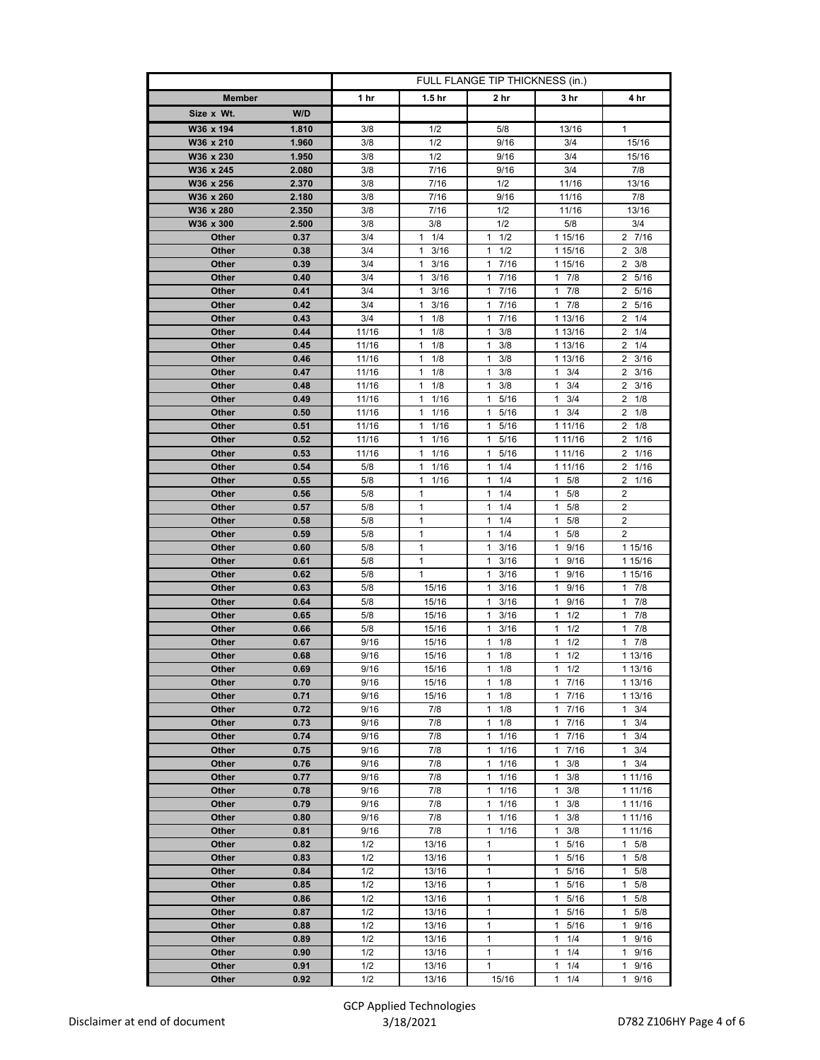|                |              | FULL FLANGE TIP THICKNESS (in.) |                       |                                   |                      |                                    |
|----------------|--------------|---------------------------------|-----------------------|-----------------------------------|----------------------|------------------------------------|
| <b>Member</b>  |              | 1 hr                            | 1.5 <sub>hr</sub>     | 2 hr                              | 3 hr                 | 4 hr                               |
| Size x Wt.     | W/D          |                                 |                       |                                   |                      |                                    |
| W36 x 194      | 1.810        | 3/8                             | 1/2                   | 5/8                               | 13/16                | 1                                  |
| W36 x 210      | 1.960        | 3/8                             | 1/2                   | 9/16                              | 3/4                  | 15/16                              |
| W36 x 230      | 1.950        | 3/8                             | 1/2                   | 9/16                              | 3/4                  | 15/16                              |
| W36 x 245      | 2.080        | 3/8                             | 7/16                  | 9/16                              | 3/4                  | 7/8                                |
| W36 x 256      | 2.370        | 3/8                             | 7/16                  | 1/2                               | 11/16                | 13/16                              |
| W36 x 260      | 2.180        | 3/8                             | 7/16                  | 9/16                              | 11/16                | 7/8                                |
| W36 x 280      | 2.350        | 3/8                             | 7/16                  | 1/2                               | 11/16                | 13/16                              |
| W36 x 300      | 2.500        | 3/8                             | 3/8                   | 1/2                               | 5/8                  | 3/4                                |
| Other          | 0.37         | 3/4                             | 1/4<br>1              | 1/2<br>1                          | 1 15/16              | 2 7/16                             |
| Other          | 0.38         | 3/4                             | 3/16<br>1             | 1/2<br>1                          | 1 15/16              | $\mathbf{2}$<br>3/8                |
| Other          | 0.39         | 3/4                             | 1<br>3/16             | 7/16<br>1.                        | 1 15/16              | $\overline{2}$<br>3/8              |
| Other          | 0.40         | 3/4                             | 1<br>3/16             | 7/16<br>$\mathbf{1}$              | $1 \t7/8$            | 5/16<br>$\mathbf{2}^{\circ}$       |
| Other          | 0.41         | 3/4                             | 3/16<br>1             | 7/16<br>$\mathbf{1}$              | $1 \t7/8$            | $\overline{2}$<br>5/16             |
| Other<br>Other | 0.42<br>0.43 | 3/4<br>3/4                      | 1<br>3/16<br>1<br>1/8 | 7/16<br>$\mathbf{1}$<br>1<br>7/16 | $1 \t7/8$<br>1 13/16 | $\overline{2}$<br>5/16<br>1/4<br>2 |
| Other          | 0.44         | 11/16                           | 1/8<br>1              | 1<br>3/8                          | 1 13/16              | 2<br>1/4                           |
| Other          | 0.45         | 11/16                           | 1/8<br>1              | 3/8<br>1                          | 1 13/16              | $2 \t1/4$                          |
| Other          | 0.46         | 11/16                           | 1<br>1/8              | 1<br>3/8                          | 1 13/16              | $2 \frac{3}{16}$                   |
| Other          | 0.47         | 11/16                           | 1<br>1/8              | 1<br>3/8                          | 1<br>3/4             | 2<br>3/16                          |
| Other          | 0.48         | 11/16                           | 1/8<br>1              | 3/8<br>1                          | 3/4<br>1             | 3/16<br>2                          |
| Other          | 0.49         | 11/16                           | 1/16<br>1             | 5/16<br>1                         | 3/4<br>1             | 1/8<br>$\overline{2}$              |
| Other          | 0.50         | 11/16                           | 1<br>1/16             | 1<br>5/16                         | 1<br>3/4             | 2<br>1/8                           |
| Other          | 0.51         | 11/16                           | 1/16<br>1             | 5/16<br>1                         | 1 11/16              | $\overline{2}$<br>1/8              |
| Other          | 0.52         | 11/16                           | 1/16<br>1             | 5/16<br>1                         | 1 11/16              | $\overline{2}$<br>1/16             |
| Other          | 0.53         | 11/16                           | 1<br>1/16             | 5/16<br>$\mathbf{1}$              | 1 11/16              | 2<br>1/16                          |
| Other          | 0.54         | 5/8                             | 1<br>1/16             | 1/4<br>1                          | 1 11/16              | 1/16<br>2                          |
| Other          | 0.55         | 5/8                             | 1<br>1/16             | 1/4<br>$\mathbf{1}$               | $\mathbf{1}$<br>5/8  | 2<br>1/16                          |
| Other          | 0.56         | 5/8                             | 1                     | $\mathbf{1}$<br>1/4               | 5/8<br>1             | $\overline{\mathbf{c}}$            |
| Other          | 0.57         | 5/8                             | 1                     | 1<br>1/4                          | $\mathbf{1}$<br>5/8  | 2                                  |
| Other          | 0.58         | 5/8                             | 1                     | 1/4<br>1                          | $\mathbf{1}$<br>5/8  | $\overline{2}$                     |
| Other          | 0.59         | 5/8                             | 1                     | 1/4<br>$\mathbf{1}$               | $1 \t5/8$            | 2                                  |
| Other          | 0.60         | 5/8                             | 1                     | 1<br>3/16                         | 1 9/16               | 1 15/16                            |
| Other          | 0.61<br>0.62 | 5/8                             | 1<br>1                | 1<br>3/16<br>1                    | 1<br>9/16<br>1       | 1 15/16                            |
| Other<br>Other | 0.63         | 5/8<br>5/8                      | 15/16                 | 3/16<br>3/16<br>1                 | 9/16<br>9/16<br>1    | 1 15/16<br>$1 \t7/8$               |
| Other          | 0.64         | 5/8                             | 15/16                 | 1<br>3/16                         | 1<br>9/16            | 1<br>7/8                           |
| Other          | 0.65         | 5/8                             | 15/16                 | 3/16<br>1                         | 1<br>1/2             | 7/8<br>$\mathbf{1}$                |
| Other          | 0.66         | 5/8                             | 15/16                 | 1<br>3/16                         | 1<br>1/2             | 7/8<br>$\mathbf{1}$                |
| Other          | 0.67         | 9/16                            | 15/16                 | 1/8<br>1                          | 1/2<br>1             | 7/8<br>$\mathbf{1}$                |
| Other          | 0.68         | 9/16                            | 15/16                 | 1<br>1/8                          | 1<br>1/2             | 1 13/16                            |
| Other          | 0.69         | 9/16                            | 15/16                 | 1/8<br>1                          | 1/2<br>1             | 1 13/16                            |
| Other          | 0.70         | 9/16                            | 15/16                 | 1/8<br>$\mathbf{1}$               | 17/16                | 1 13/16                            |
| Other          | 0.71         | 9/16                            | 15/16                 | 1<br>1/8                          | 7/16<br>1            | 1 13/16                            |
| Other          | 0.72         | 9/16                            | 7/8                   | 1<br>1/8                          | $\mathbf{1}$<br>7/16 | $\mathbf{1}$<br>3/4                |
| Other          | 0.73         | 9/16                            | 7/8                   | 1/8<br>1                          | 7/16<br>1            | 3/4<br>1                           |
| Other          | 0.74         | 9/16                            | 7/8                   | $\mathbf{1}$<br>1/16              | 17/16                | 3/4<br>$\mathbf{1}$                |
| Other          | 0.75         | 9/16                            | 7/8                   | 1<br>1/16                         | 1<br>7/16            | 1<br>3/4                           |
| Other          | 0.76         | 9/16                            | 7/8                   | 1/16<br>$\mathbf{1}$              | 3/8<br>1             | 3/4<br>$\mathbf{1}$                |
| Other          | 0.77         | 9/16                            | 7/8                   | 1/16<br>1                         | 3/8<br>$\mathbf{1}$  | 1 1 1 / 16                         |
| Other          | 0.78         | 9/16                            | 7/8                   | $\mathbf{1}$<br>1/16<br>1         | 1<br>3/8             | 1 1 1 / 16                         |
| Other<br>Other | 0.79<br>0.80 | 9/16<br>9/16                    | 7/8<br>7/8            | 1/16<br>$\mathbf{1}$<br>1/16      | 1<br>3/8<br>3/8<br>1 | 1 1 1 / 16                         |
| Other          | 0.81         | 9/16                            | 7/8                   | $\mathbf{1}$<br>1/16              | 1<br>3/8             | 1 1 1 / 16<br>1 1 1 / 16           |
| Other          | 0.82         | 1/2                             | 13/16                 | 1                                 | 5/16<br>1            | 5/8<br>1                           |
| Other          | 0.83         | 1/2                             | 13/16                 | $\mathbf{1}$                      | $\mathbf{1}$<br>5/16 | $\mathbf{1}$<br>5/8                |
| Other          | 0.84         | 1/2                             | 13/16                 | $\mathbf{1}$                      | 1 5/16               | 5/8<br>1                           |
| Other          | 0.85         | 1/2                             | 13/16                 | 1                                 | 5/16<br>1            | 5/8<br>1                           |
| Other          | 0.86         | 1/2                             | 13/16                 | 1                                 | $\mathbf{1}$<br>5/16 | 1<br>5/8                           |
| Other          | 0.87         | 1/2                             | 13/16                 | $\mathbf{1}$                      | 5/16<br>$\mathbf{1}$ | 5/8<br>1                           |
| Other          | 0.88         | 1/2                             | 13/16                 | 1                                 | 1 5/16               | 9/16<br>1                          |
| Other          | 0.89         | 1/2                             | 13/16                 | 1                                 | 1<br>1/4             | 9/16<br>1                          |
| Other          | 0.90         | 1/2                             | 13/16                 | $\mathbf{1}$                      | $\mathbf{1}$<br>1/4  | 9/16<br>$\mathbf{1}$               |
| Other          | 0.91         | 1/2                             | 13/16                 | $\mathbf{1}$                      | 1/4<br>1             | 9/16<br>$\mathbf{1}$               |
| Other          | 0.92         | 1/2                             | 13/16                 | 15/16                             | 1/4<br>1             | 1<br>9/16                          |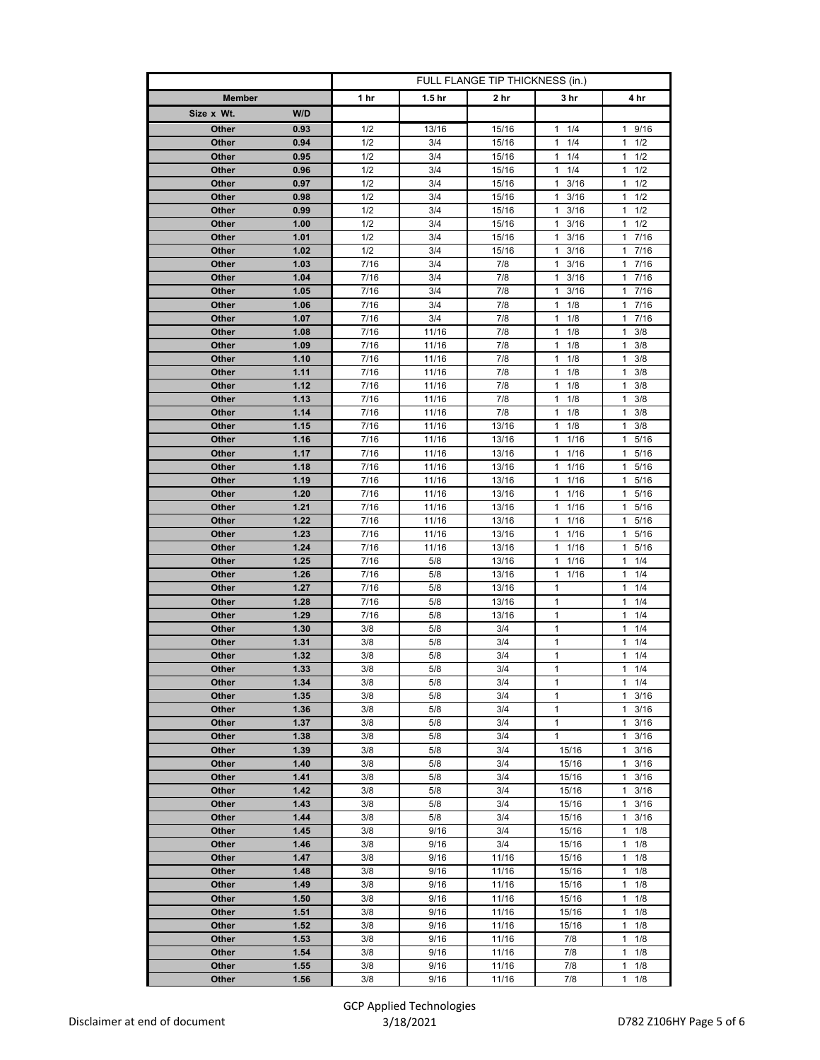|                                | FULL FLANGE TIP THICKNESS (in.) |                   |                |                                   |                                            |
|--------------------------------|---------------------------------|-------------------|----------------|-----------------------------------|--------------------------------------------|
| <b>Member</b>                  | 1 hr                            | 1.5 <sub>hr</sub> | 2 hr           | 3 hr                              | 4 hr                                       |
| W/D<br>Size x Wt.              |                                 |                   |                |                                   |                                            |
| Other<br>0.93                  | 1/2                             | 13/16             | 15/16          | 1/4<br>$\mathbf{1}$               | 1 9/16                                     |
| Other<br>0.94                  | 1/2                             | 3/4               | 15/16          | 1/4<br>1                          | $1 \t1/2$                                  |
| 0.95<br>Other                  | 1/2                             | 3/4               | 15/16          | 1<br>1/4                          | 1/2<br>1                                   |
| 0.96<br>Other                  | 1/2                             | 3/4               | 15/16          | 1/4<br>$\mathbf{1}$               | $\mathbf{1}$<br>1/2                        |
| Other<br>0.97                  | 1/2                             | 3/4               | 15/16          | 3/16<br>$\mathbf{1}$              | 1/2<br>$\mathbf{1}$                        |
| Other<br>0.98                  | 1/2                             | 3/4               | 15/16          | 3/16<br>$\mathbf{1}$              | 1/2<br>1                                   |
| Other<br>0.99                  | 1/2                             | 3/4               | 15/16          | 1<br>3/16                         | 1<br>1/2                                   |
| 1.00<br>Other                  | 1/2                             | 3/4               | 15/16          | 3/16<br>1                         | 1/2<br>$\mathbf{1}$                        |
| Other<br>1.01<br>Other<br>1.02 | 1/2<br>1/2                      | 3/4<br>3/4        | 15/16<br>15/16 | $\mathbf{1}$<br>3/16<br>3/16<br>1 | 7/16<br>$\mathbf{1}$<br>7/16<br>1          |
| 1.03<br>Other                  | 7/16                            | 3/4               | 7/8            | $\mathbf{1}$<br>3/16              | $\mathbf{1}$<br>7/16                       |
| Other<br>1.04                  | 7/16                            | 3/4               | 7/8            | 3/16<br>$\mathbf{1}$              | 7/16<br>1                                  |
| Other<br>1.05                  | 7/16                            | 3/4               | 7/8            | $1 \t3/16$                        | 17/16                                      |
| 1.06<br>Other                  | 7/16                            | 3/4               | 7/8            | 1<br>1/8                          | 7/16<br>1                                  |
| 1.07<br>Other                  | 7/16                            | 3/4               | 7/8            | 1/8<br>$\mathbf{1}$               | $\mathbf{1}$<br>7/16                       |
| Other<br>1.08                  | 7/16                            | 11/16             | 7/8            | 1/8<br>1                          | 3/8<br>1                                   |
| Other<br>1.09                  | 7/16                            | 11/16             | 7/8            | 1/8<br>1                          | 3/8<br>1                                   |
| 1.10<br>Other                  | 7/16                            | 11/16             | 7/8            | $\mathbf{1}$<br>1/8               | $\mathbf{1}$<br>3/8                        |
| 1.11<br>Other                  | 7/16                            | 11/16             | 7/8            | $\mathbf{1}$<br>1/8               | $\mathbf{1}$<br>3/8                        |
| 1.12<br>Other                  | 7/16                            | 11/16             | 7/8            | 1/8<br>1                          | 3/8<br>1                                   |
| 1.13<br>Other<br>1.14<br>Other | 7/16<br>7/16                    | 11/16<br>11/16    | 7/8<br>7/8     | 1/8<br>1<br>$\mathbf{1}$<br>1/8   | 3/8<br>1<br>1<br>3/8                       |
| Other<br>1.15                  | 7/16                            | 11/16             | 13/16          | $\mathbf{1}$<br>1/8               | 3/8<br>$\mathbf{1}$                        |
| Other<br>1.16                  | 7/16                            | 11/16             | 13/16          | 1/16<br>1                         | $\mathbf{1}$<br>5/16                       |
| Other<br>1.17                  | 7/16                            | 11/16             | 13/16          | $\mathbf{1}$<br>1/16              | 1<br>5/16                                  |
| 1.18<br>Other                  | 7/16                            | 11/16             | 13/16          | 1/16<br>1                         | 5/16<br>1                                  |
| Other<br>1.19                  | 7/16                            | 11/16             | 13/16          | 11/16                             | 5/16<br>1                                  |
| 1.20<br>Other                  | 7/16                            | 11/16             | 13/16          | 1<br>1/16                         | 1<br>5/16                                  |
| 1.21<br>Other                  | 7/16                            | 11/16             | 13/16          | 1/16<br>$\mathbf{1}$              | 5/16<br>1                                  |
| Other<br>1.22                  | 7/16                            | 11/16             | 13/16          | 1/16<br>$\mathbf{1}$              | $\mathbf{1}$<br>5/16                       |
| Other<br>1.23                  | 7/16                            | 11/16             | 13/16          | 1/16<br>1                         | 5/16<br>1                                  |
| Other<br>1.24                  | 7/16                            | 11/16             | 13/16          | 1/16<br>1                         | 1<br>5/16                                  |
| 1.25<br>Other<br>Other<br>1.26 | 7/16<br>7/16                    | 5/8<br>5/8        | 13/16<br>13/16 | 1/16<br>1<br>$1 \t1/16$           | 1/4<br>$\mathbf{1}$<br>$\mathbf{1}$<br>1/4 |
| Other<br>1.27                  | 7/16                            | 5/8               | 13/16          | 1                                 | 1<br>1/4                                   |
| 1.28<br>Other                  | 7/16                            | 5/8               | 13/16          | $\mathbf{1}$                      | $\mathbf{1}$<br>1/4                        |
| Other<br>1.29                  | 7/16                            | 5/8               | 13/16          | 1                                 | 1/4<br>1                                   |
| 1.30<br>Other                  | 3/8                             | 5/8               | 3/4            | 1                                 | 1/4<br>1                                   |
| 1.31<br>Other                  | 3/8                             | 5/8               | 3/4            | $\mathbf{1}$                      | 1/4<br>1                                   |
| Other<br>1.32                  | 3/8                             | 5/8               | 3/4            | $\mathbf{1}$                      | 1/4<br>1                                   |
| 1.33<br>Other                  | 3/8                             | 5/8               | 3/4            | $\mathbf{1}$                      | 1/4<br>$\mathbf{1}$                        |
| Other<br>1.34                  | 3/8                             | 5/8               | 3/4            | 1                                 | 1/4<br>1                                   |
| 1.35<br>Other<br>1.36<br>Other | 3/8<br>3/8                      | 5/8<br>5/8        | 3/4<br>3/4     | $\mathbf{1}$<br>$\mathbf{1}$      | 3/16<br>1<br>3/16<br>$\mathbf{1}$          |
| 1.37<br>Other                  | 3/8                             | 5/8               | 3/4            | $\mathbf{1}$                      | $\mathbf{1}$<br>3/16                       |
| Other<br>1.38                  | 3/8                             | 5/8               | 3/4            | $\mathbf{1}$                      | 3/16<br>$\mathbf{1}$                       |
| 1.39<br>Other                  | 3/8                             | 5/8               | 3/4            | 15/16                             | $\mathbf{1}$<br>3/16                       |
| 1.40<br>Other                  | 3/8                             | $5/8$             | 3/4            | 15/16                             | 3/16<br>1                                  |
| Other<br>1.41                  | 3/8                             | 5/8               | 3/4            | 15/16                             | 3/16<br>1                                  |
| 1.42<br>Other                  | 3/8                             | 5/8               | 3/4            | 15/16                             | 1<br>3/16                                  |
| 1.43<br>Other                  | 3/8                             | 5/8               | 3/4            | 15/16                             | 3/16<br>1                                  |
| Other<br>1.44                  | 3/8                             | 5/8               | 3/4            | 15/16                             | 3/16<br>1                                  |
| 1.45<br>Other                  | 3/8                             | 9/16              | 3/4            | 15/16                             | 1/8<br>1                                   |
| 1.46<br>Other<br>1.47<br>Other | 3/8<br>3/8                      | 9/16<br>9/16      | 3/4<br>11/16   | 15/16                             | 1<br>1/8<br>1/8<br>$\mathbf{1}$            |
| 1.48<br>Other                  | 3/8                             | 9/16              | 11/16          | 15/16<br>15/16                    | 1/8<br>1                                   |
| 1.49<br>Other                  | 3/8                             | 9/16              | 11/16          | 15/16                             | 1/8<br>1                                   |
| 1.50<br>Other                  | 3/8                             | 9/16              | 11/16          | 15/16                             | $\mathbf{1}$<br>1/8                        |
| 1.51<br>Other                  | 3/8                             | 9/16              | 11/16          | 15/16                             | 1/8<br>1                                   |
| 1.52<br>Other                  | 3/8                             | 9/16              | 11/16          | 15/16                             | 1/8<br>1                                   |
| 1.53<br>Other                  | 3/8                             | 9/16              | 11/16          | 7/8                               | $\mathbf{1}$<br>1/8                        |
| 1.54<br>Other                  | 3/8                             | 9/16              | 11/16          | 7/8                               | 1/8<br>1                                   |
| 1.55<br>Other                  | 3/8                             | 9/16              | 11/16          | 7/8                               | 1/8<br>1                                   |
| 1.56<br>Other                  | 3/8                             | 9/16              | 11/16          | 7/8                               | 1/8<br>1                                   |